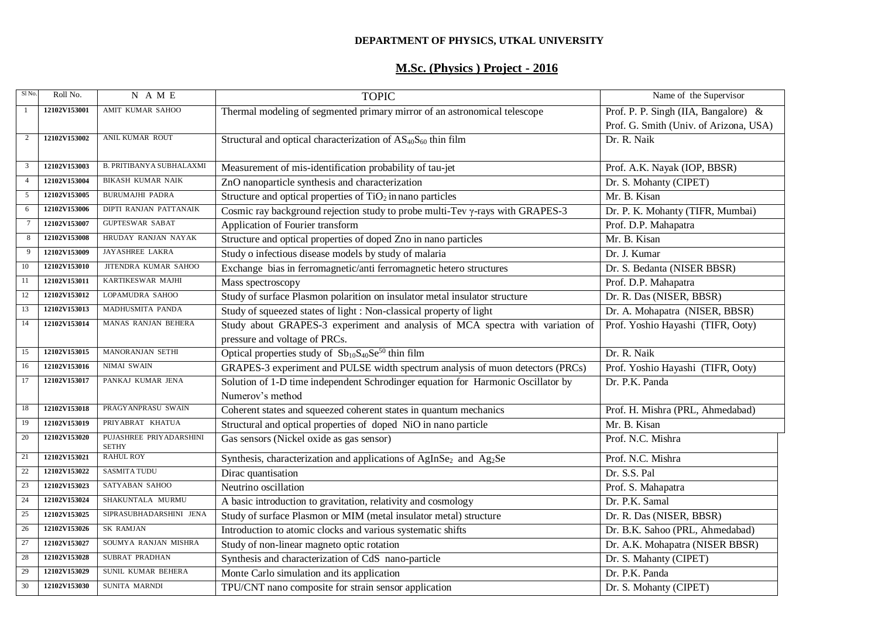### **DEPARTMENT OF PHYSICS, UTKAL UNIVERSITY**

# **M.Sc. (Physics ) Project - 2016**

| Sl <sub>No</sub> | Roll No.     | N A M E                                 | <b>TOPIC</b>                                                                               | Name of the Supervisor                 |  |
|------------------|--------------|-----------------------------------------|--------------------------------------------------------------------------------------------|----------------------------------------|--|
| -1               | 12102V153001 | AMIT KUMAR SAHOO                        | Thermal modeling of segmented primary mirror of an astronomical telescope                  | Prof. P. P. Singh (IIA, Bangalore) &   |  |
|                  |              |                                         |                                                                                            | Prof. G. Smith (Univ. of Arizona, USA) |  |
| $\overline{2}$   | 12102V153002 | ANIL KUMAR ROUT                         | Structural and optical characterization of $AS_{40}S_{60}$ thin film                       | Dr. R. Naik                            |  |
|                  |              |                                         |                                                                                            |                                        |  |
| 3                | 12102V153003 | <b>B. PRITIBANY A SUBHALAXMI</b>        | Measurement of mis-identification probability of tau-jet                                   | Prof. A.K. Nayak (IOP, BBSR)           |  |
|                  | 12102V153004 | <b>BIKASH KUMAR NAIK</b>                | ZnO nanoparticle synthesis and characterization                                            | Dr. S. Mohanty (CIPET)                 |  |
| 5                | 12102V153005 | BURUMAJHI PADRA                         | Structure and optical properties of $TiO2$ in nano particles                               | Mr. B. Kisan                           |  |
| 6                | 12102V153006 | DIPTI RANJAN PATTANAIK                  | Cosmic ray background rejection study to probe multi-Tev $\gamma$ -rays with GRAPES-3      | Dr. P. K. Mohanty (TIFR, Mumbai)       |  |
| $\tau$           | 12102V153007 | <b>GUPTESWAR SABAT</b>                  | Application of Fourier transform                                                           | Prof. D.P. Mahapatra                   |  |
| 8                | 12102V153008 | HRUDAY RANJAN NAYAK                     | Structure and optical properties of doped Zno in nano particles                            | Mr. B. Kisan                           |  |
| 9                | 12102V153009 | JAYASHREE LAKRA                         | Study o infectious disease models by study of malaria                                      | Dr. J. Kumar                           |  |
| 10               | 12102V153010 | JITENDRA KUMAR SAHOO                    | Exchange bias in ferromagnetic/anti ferromagnetic hetero structures                        | Dr. S. Bedanta (NISER BBSR)            |  |
| -11              | 12102V153011 | KARTIKESWAR MAJHI                       | Mass spectroscopy                                                                          | Prof. D.P. Mahapatra                   |  |
| 12               | 12102V153012 | LOPAMUDRA SAHOO                         | Study of surface Plasmon polarition on insulator metal insulator structure                 | Dr. R. Das (NISER, BBSR)               |  |
| 13               | 12102V153013 | MADHUSMITA PANDA                        | Study of squeezed states of light : Non-classical property of light                        | Dr. A. Mohapatra (NISER, BBSR)         |  |
| 14               | 12102V153014 | MANAS RANJAN BEHERA                     | Study about GRAPES-3 experiment and analysis of MCA spectra with variation of              | Prof. Yoshio Hayashi (TIFR, Ooty)      |  |
|                  |              |                                         | pressure and voltage of PRCs.                                                              |                                        |  |
| 15               | 12102V153015 | MANORANJAN SETHI                        | Optical properties study of $Sb_{10}S_{40}Se^{50}$ thin film                               | Dr. R. Naik                            |  |
| 16               | 12102V153016 | NIMAI SWAIN                             | GRAPES-3 experiment and PULSE width spectrum analysis of muon detectors (PRCs)             | Prof. Yoshio Hayashi (TIFR, Ooty)      |  |
| 17               | 12102V153017 | PANKAJ KUMAR JENA                       | Solution of 1-D time independent Schrodinger equation for Harmonic Oscillator by           | Dr. P.K. Panda                         |  |
|                  |              |                                         | Numerov's method                                                                           |                                        |  |
| 18               | 12102V153018 | PRAGYANPRASU SWAIN                      | Coherent states and squeezed coherent states in quantum mechanics                          | Prof. H. Mishra (PRL, Ahmedabad)       |  |
| 19               | 12102V153019 | PRIYABRAT KHATUA                        | Structural and optical properties of doped NiO in nano particle                            | Mr. B. Kisan                           |  |
| 20               | 12102V153020 | PUJASHREE PRIYADARSHINI<br><b>SETHY</b> | Gas sensors (Nickel oxide as gas sensor)                                                   | Prof. N.C. Mishra                      |  |
| 21               | 12102V153021 | <b>RAHUL ROY</b>                        | Synthesis, characterization and applications of AgInSe <sub>2</sub> and Ag <sub>2</sub> Se | Prof. N.C. Mishra                      |  |
| 22               | 12102V153022 | <b>SASMITA TUDU</b>                     | Dirac quantisation                                                                         | Dr. S.S. Pal                           |  |
| 23               | 12102V153023 | SATYABAN SAHOO                          | Neutrino oscillation                                                                       | Prof. S. Mahapatra                     |  |
| 24               | 12102V153024 | SHAKUNTALA MURMU                        | A basic introduction to gravitation, relativity and cosmology                              | Dr. P.K. Samal                         |  |
| 25               | 12102V153025 | SIPRASUBHADARSHINI JENA                 | Study of surface Plasmon or MIM (metal insulator metal) structure                          | Dr. R. Das (NISER, BBSR)               |  |
| 26               | 12102V153026 | SK RAMJAN                               | Introduction to atomic clocks and various systematic shifts                                | Dr. B.K. Sahoo (PRL, Ahmedabad)        |  |
| 27               | 12102V153027 | SOUMYA RANJAN MISHRA                    | Study of non-linear magneto optic rotation                                                 | Dr. A.K. Mohapatra (NISER BBSR)        |  |
| 28               | 12102V153028 | SUBRAT PRADHAN                          | Synthesis and characterization of CdS nano-particle                                        | Dr. S. Mahanty (CIPET)                 |  |
| 29               | 12102V153029 | SUNIL KUMAR BEHERA                      | Monte Carlo simulation and its application                                                 | Dr. P.K. Panda                         |  |
| 30               | 12102V153030 | SUNITA MARNDI                           | TPU/CNT nano composite for strain sensor application                                       | Dr. S. Mohanty (CIPET)                 |  |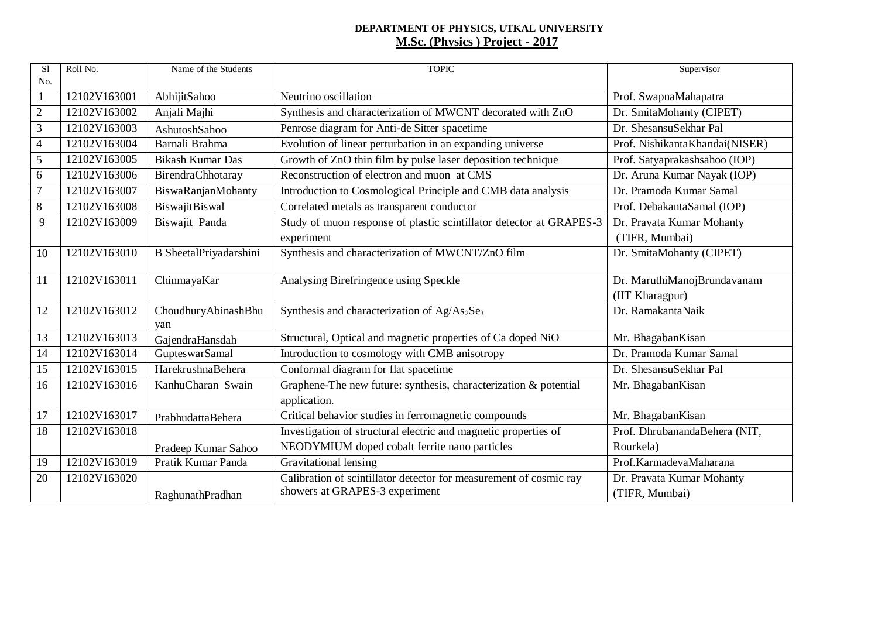#### **DEPARTMENT OF PHYSICS, UTKAL UNIVERSITY M.Sc. (Physics ) Project - 2017**

| S1             | Roll No.     | Name of the Students       | <b>TOPIC</b>                                                         | Supervisor                     |
|----------------|--------------|----------------------------|----------------------------------------------------------------------|--------------------------------|
| No.            |              |                            |                                                                      |                                |
| $\mathbf{1}$   | 12102V163001 | AbhijitSahoo               | Neutrino oscillation                                                 | Prof. SwapnaMahapatra          |
| $\sqrt{2}$     | 12102V163002 | Anjali Majhi               | Synthesis and characterization of MWCNT decorated with ZnO           | Dr. SmitaMohanty (CIPET)       |
| $\mathfrak 3$  | 12102V163003 | AshutoshSahoo              | Penrose diagram for Anti-de Sitter spacetime                         | Dr. ShesansuSekhar Pal         |
| $\overline{4}$ | 12102V163004 | Barnali Brahma             | Evolution of linear perturbation in an expanding universe            | Prof. NishikantaKhandai(NISER) |
| $\sqrt{5}$     | 12102V163005 | <b>Bikash Kumar Das</b>    | Growth of ZnO thin film by pulse laser deposition technique          | Prof. Satyaprakashsahoo (IOP)  |
| 6              | 12102V163006 | BirendraChhotaray          | Reconstruction of electron and muon at CMS                           | Dr. Aruna Kumar Nayak (IOP)    |
| $\overline{7}$ | 12102V163007 | BiswaRanjanMohanty         | Introduction to Cosmological Principle and CMB data analysis         | Dr. Pramoda Kumar Samal        |
| 8              | 12102V163008 | BiswajitBiswal             | Correlated metals as transparent conductor                           | Prof. DebakantaSamal (IOP)     |
| 9              | 12102V163009 | Biswajit Panda             | Study of muon response of plastic scintillator detector at GRAPES-3  | Dr. Pravata Kumar Mohanty      |
|                |              |                            | experiment                                                           | (TIFR, Mumbai)                 |
| 10             | 12102V163010 | B SheetalPriyadarshini     | Synthesis and characterization of MWCNT/ZnO film                     | Dr. SmitaMohanty (CIPET)       |
| 11             | 12102V163011 | ChinmayaKar                | Analysing Birefringence using Speckle                                | Dr. MaruthiManojBrundavanam    |
|                |              |                            |                                                                      | (IIT Kharagpur)                |
| 12             | 12102V163012 | ChoudhuryAbinashBhu<br>yan | Synthesis and characterization of Ag/As <sub>2</sub> Se <sub>3</sub> | Dr. RamakantaNaik              |
| 13             | 12102V163013 | GajendraHansdah            | Structural, Optical and magnetic properties of Ca doped NiO          | Mr. BhagabanKisan              |
| 14             | 12102V163014 | GupteswarSamal             | Introduction to cosmology with CMB anisotropy                        | Dr. Pramoda Kumar Samal        |
| 15             | 12102V163015 | HarekrushnaBehera          | Conformal diagram for flat spacetime                                 | Dr. ShesansuSekhar Pal         |
| 16             | 12102V163016 | KanhuCharan Swain          | Graphene-The new future: synthesis, characterization & potential     | Mr. BhagabanKisan              |
|                |              |                            | application.                                                         |                                |
| 17             | 12102V163017 | PrabhudattaBehera          | Critical behavior studies in ferromagnetic compounds                 | Mr. BhagabanKisan              |
| 18             | 12102V163018 |                            | Investigation of structural electric and magnetic properties of      | Prof. DhrubanandaBehera (NIT,  |
|                |              | Pradeep Kumar Sahoo        | NEODYMIUM doped cobalt ferrite nano particles                        | Rourkela)                      |
| 19             | 12102V163019 | Pratik Kumar Panda         | Gravitational lensing                                                | Prof.KarmadevaMaharana         |
| 20             | 12102V163020 |                            | Calibration of scintillator detector for measurement of cosmic ray   | Dr. Pravata Kumar Mohanty      |
|                |              | RaghunathPradhan           | showers at GRAPES-3 experiment                                       | (TIFR, Mumbai)                 |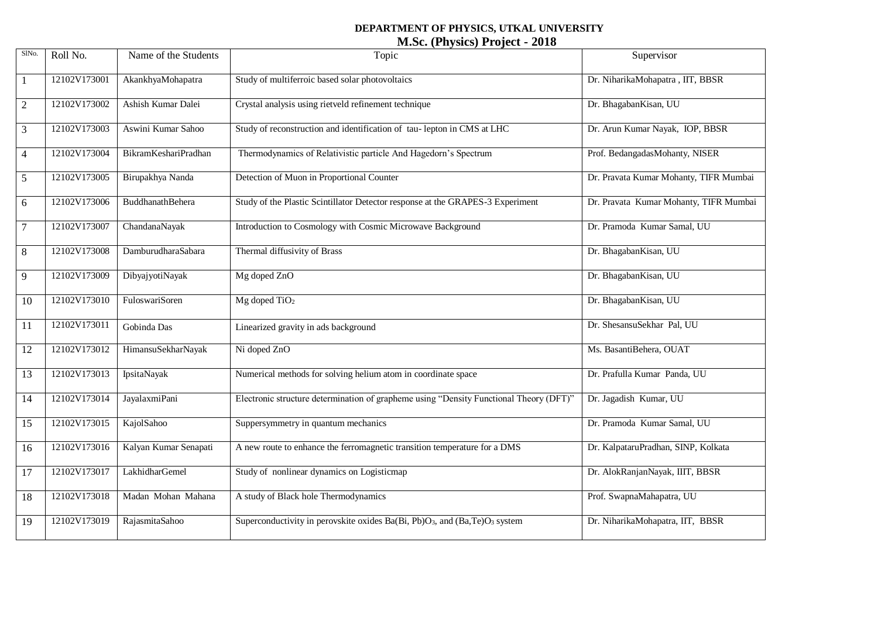# **DEPARTMENT OF PHYSICS, UTKAL UNIVERSITY M.Sc. (Physics) Project - 2018**

| SlNo.          | Roll No.     | Name of the Students        | Topic                                                                                              | Supervisor                             |
|----------------|--------------|-----------------------------|----------------------------------------------------------------------------------------------------|----------------------------------------|
| $\mathbf{1}$   | 12102V173001 | AkankhyaMohapatra           | Study of multiferroic based solar photovoltaics                                                    | Dr. NiharikaMohapatra, IIT, BBSR       |
| $\overline{2}$ | 12102V173002 | Ashish Kumar Dalei          | Crystal analysis using rietveld refinement technique                                               | Dr. BhagabanKisan, UU                  |
| $\mathfrak{Z}$ | 12102V173003 | Aswini Kumar Sahoo          | Study of reconstruction and identification of tau-lepton in CMS at LHC                             | Dr. Arun Kumar Nayak, IOP, BBSR        |
| $\overline{4}$ | 12102V173004 | <b>BikramKeshariPradhan</b> | Thermodynamics of Relativistic particle And Hagedorn's Spectrum                                    | Prof. BedangadasMohanty, NISER         |
| 5              | 12102V173005 | Birupakhya Nanda            | Detection of Muon in Proportional Counter                                                          | Dr. Pravata Kumar Mohanty, TIFR Mumbai |
| 6              | 12102V173006 | <b>BuddhanathBehera</b>     | Study of the Plastic Scintillator Detector response at the GRAPES-3 Experiment                     | Dr. Pravata Kumar Mohanty, TIFR Mumbai |
| $\tau$         | 12102V173007 | ChandanaNayak               | Introduction to Cosmology with Cosmic Microwave Background                                         | Dr. Pramoda Kumar Samal, UU            |
| $\,8\,$        | 12102V173008 | DamburudharaSabara          | Thermal diffusivity of Brass                                                                       | Dr. BhagabanKisan, UU                  |
| 9              | 12102V173009 | DibyajyotiNayak             | Mg doped ZnO                                                                                       | Dr. BhagabanKisan, UU                  |
| 10             | 12102V173010 | FuloswariSoren              | $Mg$ doped TiO <sub>2</sub>                                                                        | Dr. BhagabanKisan, UU                  |
| 11             | 12102V173011 | Gobinda Das                 | Linearized gravity in ads background                                                               | Dr. ShesansuSekhar Pal, UU             |
| 12             | 12102V173012 | HimansuSekharNayak          | Ni doped ZnO                                                                                       | Ms. BasantiBehera, OUAT                |
| 13             | 12102V173013 | IpsitaNayak                 | Numerical methods for solving helium atom in coordinate space                                      | Dr. Prafulla Kumar Panda, UU           |
| 14             | 12102V173014 | JayalaxmiPani               | Electronic structure determination of grapheme using "Density Functional Theory (DFT)"             | Dr. Jagadish Kumar, UU                 |
| 15             | 12102V173015 | KajolSahoo                  | Suppersymmetry in quantum mechanics                                                                | Dr. Pramoda Kumar Samal, UU            |
| 16             | 12102V173016 | Kalyan Kumar Senapati       | A new route to enhance the ferromagnetic transition temperature for a DMS                          | Dr. KalpataruPradhan, SINP, Kolkata    |
| 17             | 12102V173017 | <b>LakhidharGemel</b>       | Study of nonlinear dynamics on Logisticmap                                                         | Dr. AlokRanjanNayak, IIIT, BBSR        |
| 18             | 12102V173018 | Madan Mohan Mahana          | A study of Black hole Thermodynamics                                                               | Prof. SwapnaMahapatra, UU              |
| 19             | 12102V173019 | RajasmitaSahoo              | Superconductivity in perovskite oxides Ba(Bi, Pb)O <sub>3</sub> , and (Ba,Te)O <sub>3</sub> system | Dr. NiharikaMohapatra, IIT, BBSR       |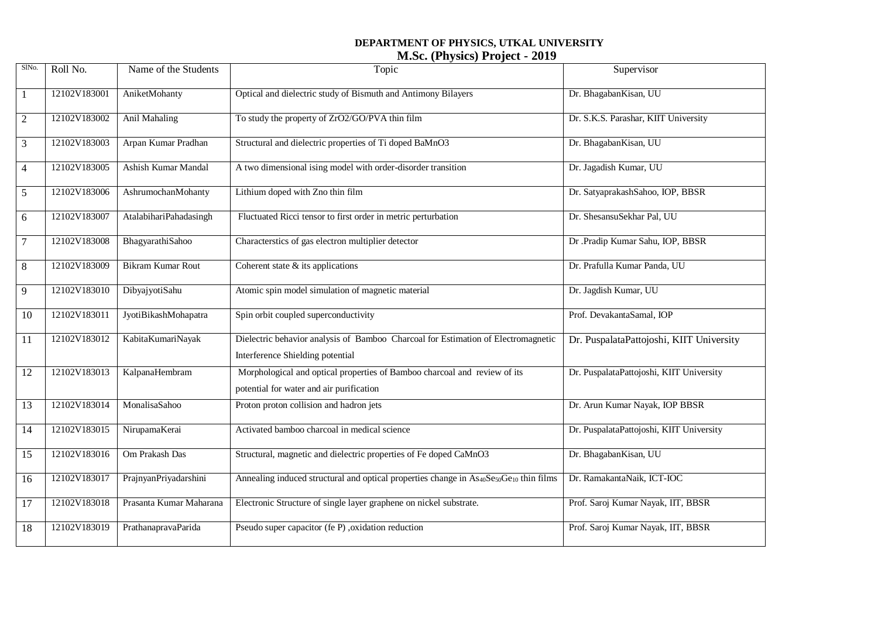## **DEPARTMENT OF PHYSICS, UTKAL UNIVERSITY M.Sc. (Physics) Project - 2019**

| SlNo.            | Roll No.     | Name of the Students    | Topic                                                                                                                       | Supervisor                               |
|------------------|--------------|-------------------------|-----------------------------------------------------------------------------------------------------------------------------|------------------------------------------|
| 1                | 12102V183001 | AniketMohanty           | Optical and dielectric study of Bismuth and Antimony Bilayers                                                               | Dr. BhagabanKisan, UU                    |
| $\boldsymbol{2}$ | 12102V183002 | <b>Anil Mahaling</b>    | To study the property of ZrO2/GO/PVA thin film                                                                              | Dr. S.K.S. Parashar, KIIT University     |
| 3                | 12102V183003 | Arpan Kumar Pradhan     | Structural and dielectric properties of Ti doped BaMnO3                                                                     | Dr. BhagabanKisan, UU                    |
| $\overline{4}$   | 12102V183005 | Ashish Kumar Mandal     | A two dimensional ising model with order-disorder transition                                                                | Dr. Jagadish Kumar, UU                   |
| 5                | 12102V183006 | AshrumochanMohanty      | Lithium doped with Zno thin film                                                                                            | Dr. SatyaprakashSahoo, IOP, BBSR         |
| 6                | 12102V183007 | AtalabihariPahadasingh  | Fluctuated Ricci tensor to first order in metric perturbation                                                               | Dr. ShesansuSekhar Pal, UU               |
| $\tau$           | 12102V183008 | BhagyarathiSahoo        | Characterstics of gas electron multiplier detector                                                                          | Dr .Pradip Kumar Sahu, IOP, BBSR         |
| 8                | 12102V183009 | Bikram Kumar Rout       | Coherent state $&$ its applications                                                                                         | Dr. Prafulla Kumar Panda, UU             |
| 9                | 12102V183010 | DibyajyotiSahu          | Atomic spin model simulation of magnetic material                                                                           | Dr. Jagdish Kumar, UU                    |
| 10               | 12102V183011 | JyotiBikashMohapatra    | Spin orbit coupled superconductivity                                                                                        | Prof. DevakantaSamal, IOP                |
| 11               | 12102V183012 | KabitaKumariNayak       | Dielectric behavior analysis of Bamboo Charcoal for Estimation of Electromagnetic<br>Interference Shielding potential       | Dr. PuspalataPattojoshi, KIIT University |
| 12               | 12102V183013 | KalpanaHembram          | Morphological and optical properties of Bamboo charcoal and review of its<br>potential for water and air purification       | Dr. PuspalataPattojoshi, KIIT University |
| 13               | 12102V183014 | MonalisaSahoo           | Proton proton collision and hadron jets                                                                                     | Dr. Arun Kumar Nayak, IOP BBSR           |
| 14               | 12102V183015 | NirupamaKerai           | Activated bamboo charcoal in medical science                                                                                | Dr. PuspalataPattojoshi, KIIT University |
| 15               | 12102V183016 | Om Prakash Das          | Structural, magnetic and dielectric properties of Fe doped CaMnO3                                                           | Dr. BhagabanKisan, UU                    |
| 16               | 12102V183017 | PrajnyanPriyadarshini   | Annealing induced structural and optical properties change in As <sub>40</sub> Se <sub>50</sub> Ge <sub>10</sub> thin films | Dr. RamakantaNaik, ICT-IOC               |
| 17               | 12102V183018 | Prasanta Kumar Maharana | Electronic Structure of single layer graphene on nickel substrate.                                                          | Prof. Saroj Kumar Nayak, IIT, BBSR       |
| 18               | 12102V183019 | PrathanapravaParida     | Pseudo super capacitor (fe P), oxidation reduction                                                                          | Prof. Saroj Kumar Nayak, IIT, BBSR       |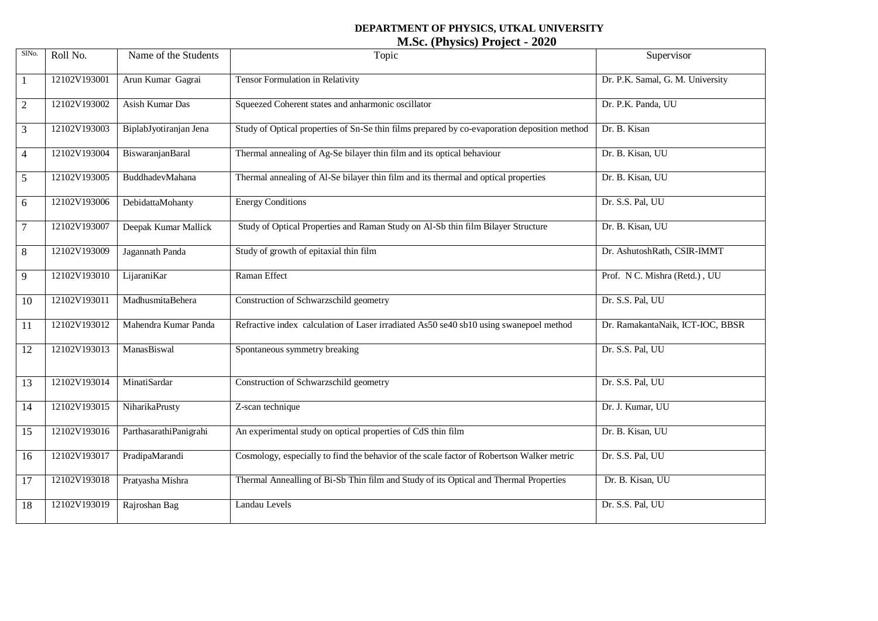# **DEPARTMENT OF PHYSICS, UTKAL UNIVERSITY M.Sc. (Physics) Project - 2020**

| SlNo.          | Roll No.     | Name of the Students   | Topic                                                                                        | Supervisor                       |
|----------------|--------------|------------------------|----------------------------------------------------------------------------------------------|----------------------------------|
|                | 12102V193001 | Arun Kumar Gagrai      | Tensor Formulation in Relativity                                                             | Dr. P.K. Samal, G. M. University |
| $\overline{2}$ | 12102V193002 | Asish Kumar Das        | Squeezed Coherent states and anharmonic oscillator                                           | Dr. P.K. Panda, UU               |
| 3              | 12102V193003 | BiplabJyotiranjan Jena | Study of Optical properties of Sn-Se thin films prepared by co-evaporation deposition method | Dr. B. Kisan                     |
| $\overline{4}$ | 12102V193004 | BiswaranjanBaral       | Thermal annealing of Ag-Se bilayer thin film and its optical behaviour                       | Dr. B. Kisan, UU                 |
| 5              | 12102V193005 | BuddhadevMahana        | Thermal annealing of Al-Se bilayer thin film and its thermal and optical properties          | Dr. B. Kisan, UU                 |
| 6              | 12102V193006 | DebidattaMohanty       | <b>Energy Conditions</b>                                                                     | Dr. S.S. Pal, UU                 |
| $\tau$         | 12102V193007 | Deepak Kumar Mallick   | Study of Optical Properties and Raman Study on Al-Sb thin film Bilayer Structure             | Dr. B. Kisan, UU                 |
| $\,8\,$        | 12102V193009 | Jagannath Panda        | Study of growth of epitaxial thin film                                                       | Dr. AshutoshRath, CSIR-IMMT      |
| 9              | 12102V193010 | LijaraniKar            | Raman Effect                                                                                 | Prof. N C. Mishra (Retd.), UU    |
| 10             | 12102V193011 | MadhusmitaBehera       | Construction of Schwarzschild geometry                                                       | Dr. S.S. Pal, UU                 |
| 11             | 12102V193012 | Mahendra Kumar Panda   | Refractive index calculation of Laser irradiated As50 se40 sb10 using swanepoel method       | Dr. RamakantaNaik, ICT-IOC, BBSR |
| 12             | 12102V193013 | ManasBiswal            | Spontaneous symmetry breaking                                                                | Dr. S.S. Pal, UU                 |
| 13             | 12102V193014 | MinatiSardar           | Construction of Schwarzschild geometry                                                       | Dr. S.S. Pal, UU                 |
| 14             | 12102V193015 | NiharikaPrusty         | Z-scan technique                                                                             | Dr. J. Kumar, UU                 |
| 15             | 12102V193016 | ParthasarathiPanigrahi | An experimental study on optical properties of CdS thin film                                 | Dr. B. Kisan, UU                 |
| 16             | 12102V193017 | PradipaMarandi         | Cosmology, especially to find the behavior of the scale factor of Robertson Walker metric    | Dr. S.S. Pal, UU                 |
| 17             | 12102V193018 | Pratyasha Mishra       | Thermal Annealling of Bi-Sb Thin film and Study of its Optical and Thermal Properties        | Dr. B. Kisan, UU                 |
| 18             | 12102V193019 | Rajroshan Bag          | Landau Levels                                                                                | Dr. S.S. Pal, UU                 |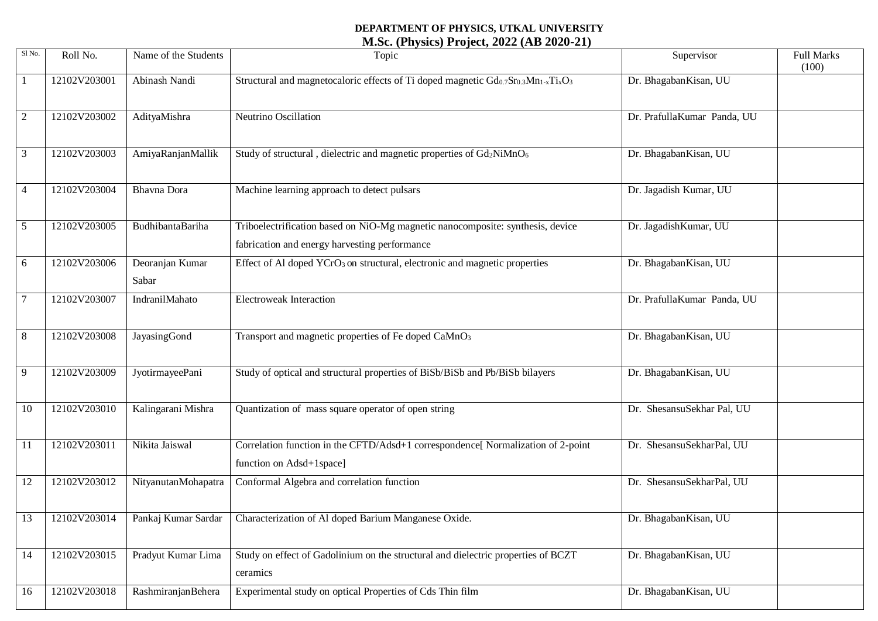### **DEPARTMENT OF PHYSICS, UTKAL UNIVERSITY M.Sc. (Physics) Project, 2022 (AB 2020-21)**

| Sl No.         | Roll No.     | Name of the Students     | Topic                                                                                                                           | Supervisor                  | <b>Full Marks</b><br>(100) |
|----------------|--------------|--------------------------|---------------------------------------------------------------------------------------------------------------------------------|-----------------------------|----------------------------|
|                | 12102V203001 | Abinash Nandi            | Structural and magnetocaloric effects of Ti doped magnetic $Gd_{0.7}Sr_{0.3}Mn_{1-x}Ti_xO_3$                                    | Dr. BhagabanKisan, UU       |                            |
| $\overline{2}$ | 12102V203002 | AdityaMishra             | Neutrino Oscillation                                                                                                            | Dr. PrafullaKumar Panda, UU |                            |
| 3              | 12102V203003 | AmiyaRanjanMallik        | Study of structural, dielectric and magnetic properties of Gd2NiMnO <sub>6</sub>                                                | Dr. BhagabanKisan, UU       |                            |
| 4              | 12102V203004 | Bhavna Dora              | Machine learning approach to detect pulsars                                                                                     | Dr. Jagadish Kumar, UU      |                            |
| 5              | 12102V203005 | BudhibantaBariha         | Triboelectrification based on NiO-Mg magnetic nanocomposite: synthesis, device<br>fabrication and energy harvesting performance | Dr. JagadishKumar, UU       |                            |
| 6              | 12102V203006 | Deoranjan Kumar<br>Sabar | Effect of Al doped YCrO <sub>3</sub> on structural, electronic and magnetic properties                                          | Dr. BhagabanKisan, UU       |                            |
|                | 12102V203007 | IndranilMahato           | <b>Electroweak Interaction</b>                                                                                                  | Dr. PrafullaKumar Panda, UU |                            |
| 8              | 12102V203008 | JayasingGond             | Transport and magnetic properties of Fe doped CaMnO <sub>3</sub>                                                                | Dr. BhagabanKisan, UU       |                            |
| 9              | 12102V203009 | JyotirmayeePani          | Study of optical and structural properties of BiSb/BiSb and Pb/BiSb bilayers                                                    | Dr. BhagabanKisan, UU       |                            |
| 10             | 12102V203010 | Kalingarani Mishra       | Quantization of mass square operator of open string                                                                             | Dr. ShesansuSekhar Pal, UU  |                            |
| 11             | 12102V203011 | Nikita Jaiswal           | Correlation function in the CFTD/Adsd+1 correspondence[ Normalization of 2-point<br>function on Adsd+1space]                    | Dr. ShesansuSekharPal, UU   |                            |
| 12             | 12102V203012 | NityanutanMohapatra      | Conformal Algebra and correlation function                                                                                      | Dr. ShesansuSekharPal, UU   |                            |
| 13             | 12102V203014 | Pankaj Kumar Sardar      | Characterization of Al doped Barium Manganese Oxide.                                                                            | Dr. Bhagaban Kisan, UU      |                            |
| 14             | 12102V203015 | Pradyut Kumar Lima       | Study on effect of Gadolinium on the structural and dielectric properties of BCZT<br>ceramics                                   | Dr. BhagabanKisan, UU       |                            |
| 16             | 12102V203018 | RashmiranjanBehera       | Experimental study on optical Properties of Cds Thin film                                                                       | Dr. BhagabanKisan, UU       |                            |